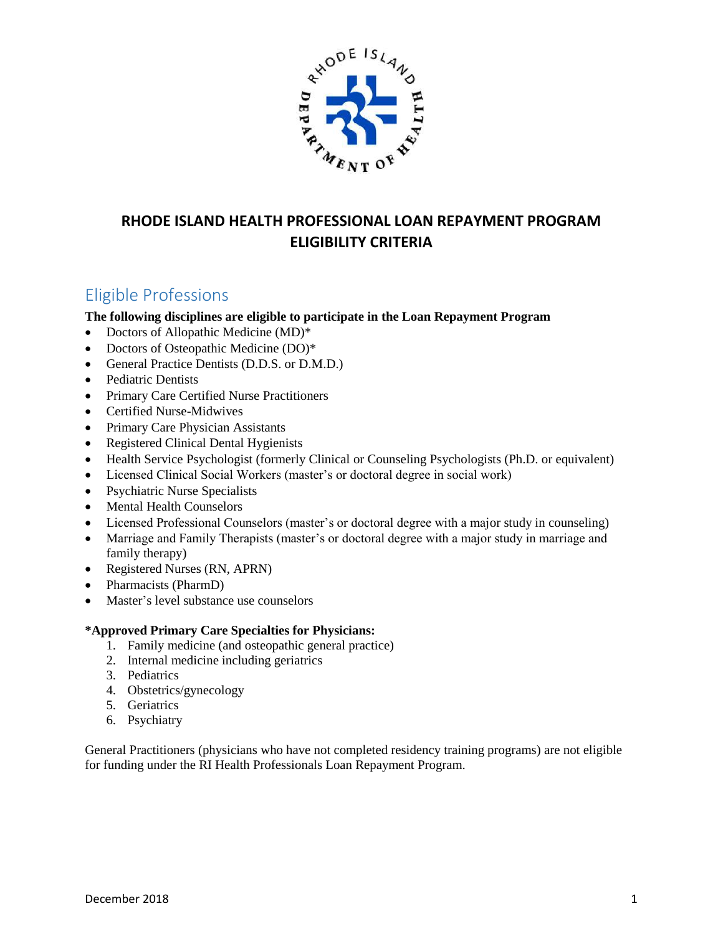

# **RHODE ISLAND HEALTH PROFESSIONAL LOAN REPAYMENT PROGRAM ELIGIBILITY CRITERIA**

# Eligible Professions

### **The following disciplines are eligible to participate in the Loan Repayment Program**

- Doctors of Allopathic Medicine (MD)<sup>\*</sup>
- Doctors of Osteopathic Medicine (DO)<sup>\*</sup>
- General Practice Dentists (D.D.S. or D.M.D.)
- Pediatric Dentists
- Primary Care Certified Nurse Practitioners
- Certified Nurse-Midwives
- Primary Care Physician Assistants
- Registered Clinical Dental Hygienists
- Health Service Psychologist (formerly Clinical or Counseling Psychologists (Ph.D. or equivalent)
- Licensed Clinical Social Workers (master's or doctoral degree in social work)
- Psychiatric Nurse Specialists
- Mental Health Counselors
- Licensed Professional Counselors (master's or doctoral degree with a major study in counseling)
- Marriage and Family Therapists (master's or doctoral degree with a major study in marriage and family therapy)
- Registered Nurses (RN, APRN)
- Pharmacists (PharmD)
- Master's level substance use counselors

#### **\*Approved Primary Care Specialties for Physicians:**

- 1. Family medicine (and osteopathic general practice)
- 2. Internal medicine including geriatrics
- 3. Pediatrics
- 4. Obstetrics/gynecology
- 5. Geriatrics
- 6. Psychiatry

General Practitioners (physicians who have not completed residency training programs) are not eligible for funding under the RI Health Professionals Loan Repayment Program.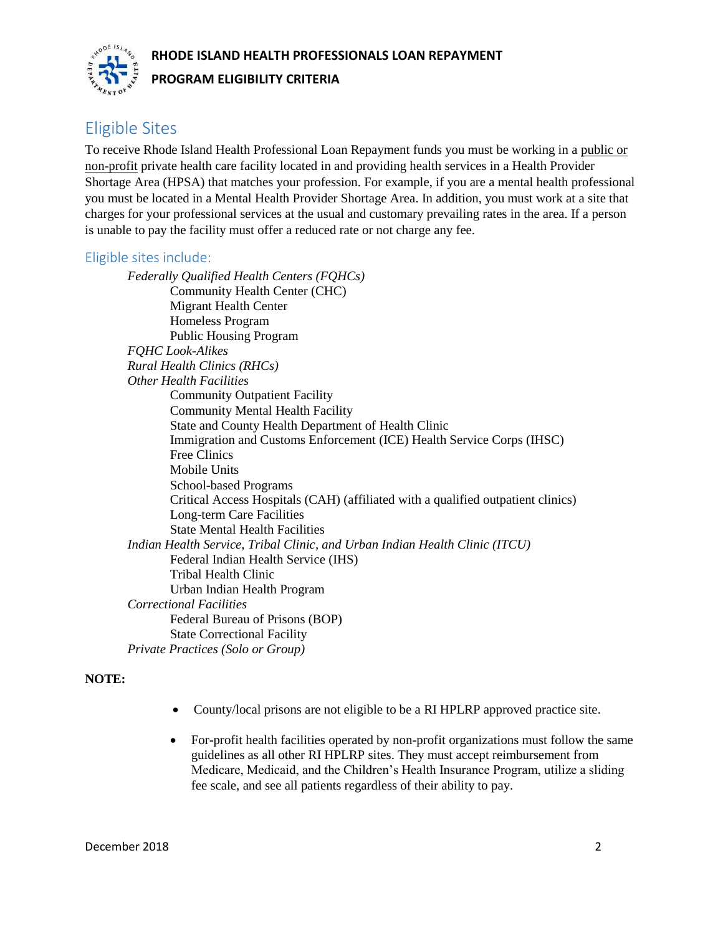### **RHODE ISLAND HEALTH PROFESSIONALS LOAN REPAYMENT**



#### **PROGRAM ELIGIBILITY CRITERIA**

# Eligible Sites

To receive Rhode Island Health Professional Loan Repayment funds you must be working in a public or non-profit private health care facility located in and providing health services in a Health Provider Shortage Area (HPSA) that matches your profession. For example, if you are a mental health professional you must be located in a Mental Health Provider Shortage Area. In addition, you must work at a site that charges for your professional services at the usual and customary prevailing rates in the area. If a person is unable to pay the facility must offer a reduced rate or not charge any fee.

### Eligible sites include:

*Federally Qualified Health Centers (FQHCs)* Community Health Center (CHC) Migrant Health Center Homeless Program Public Housing Program *FQHC Look-Alikes Rural Health Clinics (RHCs) Other Health Facilities* Community Outpatient Facility Community Mental Health Facility State and County Health Department of Health Clinic Immigration and Customs Enforcement (ICE) Health Service Corps (IHSC) Free Clinics Mobile Units School-based Programs Critical Access Hospitals (CAH) (affiliated with a qualified outpatient clinics) Long-term Care Facilities State Mental Health Facilities *Indian Health Service, Tribal Clinic, and Urban Indian Health Clinic (ITCU)* Federal Indian Health Service (IHS) Tribal Health Clinic Urban Indian Health Program *Correctional Facilities* Federal Bureau of Prisons (BOP) State Correctional Facility *Private Practices (Solo or Group)*

#### **NOTE:**

- County/local prisons are not eligible to be a RI HPLRP approved practice site.
- For-profit health facilities operated by non-profit organizations must follow the same guidelines as all other RI HPLRP sites. They must accept reimbursement from Medicare, Medicaid, and the Children's Health Insurance Program, utilize a sliding fee scale, and see all patients regardless of their ability to pay.